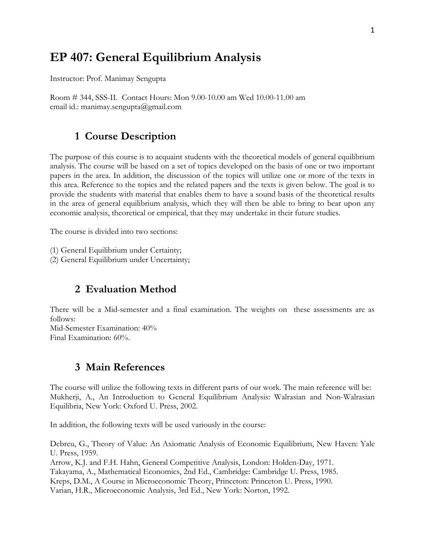# **EP 407: General Equilibrium Analysis**

Instructor: Prof. Manimay Sengupta

Room # 344, SSS-II. Contact Hours: Mon 9.00-10.00 am Wed 10.00-11.00 am email id.: manimay.sengupta@gmail.com

# **1 Course Description**

The purpose of this course is to acquaint students with the theoretical models of general equilibrium analysis. The course will be based on a set of topics developed on the basis of one or two important papers in the area. In addition, the discussion of the topics will utilize one or more of the texts in this area. Reference to the topics and the related papers and the texts is given below. The goal is to provide the students with material that enables them to have a sound basis of the theoretical results in the area of general equilibrium analysis, which they will then be able to bring to bear upon any economic analysis, theoretical or empirical, that they may undertake in their future studies.

The course is divided into two sections:

- (1) General Equilibrium under Certainty;
- (2) General Equilibrium under Uncertainty;

# **2 Evaluation Method**

There will be a Mid-semester and a final examination. The weights on these assessments are as follows: Mid-Semester Examination: 40%

Final Examination: 60%.

# **3 Main References**

The course will utilize the following texts in different parts of our work. The main reference will be: Mukherji, A., An Introduction to General Equilibrium Analysis: Walrasian and Non-Walrasian Equilibria, New York: Oxford U. Press, 2002.

In addition, the following texts will be used variously in the course:

Debreu, G., Theory of Value: An Axiomatic Analysis of Economic Equilibrium, New Haven: Yale U. Press, 1959.

Arrow, K.J. and F.H. Hahn, General Competitive Analysis, London: Holden-Day, 1971. Takayama, A., Mathematical Economics, 2nd Ed., Cambridge: Cambridge U. Press, 1985. Kreps, D.M., A Course in Microeconomic Theory, Princeton: Princeton U. Press, 1990.

Varian, H.R., Microeconomic Analysis, 3rd Ed., New York: Norton, 1992.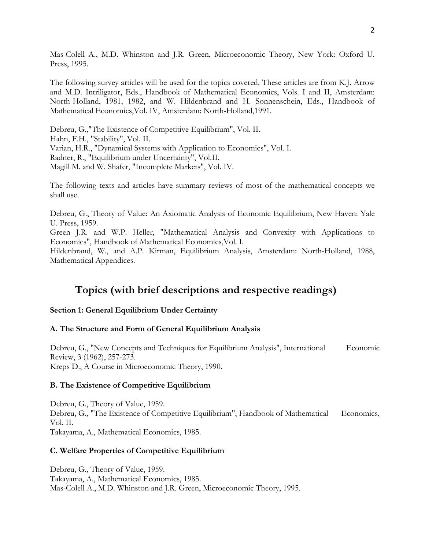Mas-Colell A., M.D. Whinston and J.R. Green, Microeconomic Theory, New York: Oxford U. Press, 1995.

The following survey articles will be used for the topics covered. These articles are from K.J. Arrow and M.D. Intriligator, Eds., Handbook of Mathematical Economics, Vols. I and II, Amsterdam: North-Holland, 1981, 1982, and W. Hildenbrand and H. Sonnenschein, Eds., Handbook of Mathematical Economics,Vol. IV, Amsterdam: North-Holland,1991.

Debreu, G.,"The Existence of Competitive Equilibrium", Vol. II. Hahn, F.H., "Stability", Vol. II. Varian, H.R., "Dynamical Systems with Application to Economics", Vol. I. Radner, R., "Equilibrium under Uncertainty", Vol.II. Magill M. and W. Shafer, "Incomplete Markets", Vol. IV.

The following texts and articles have summary reviews of most of the mathematical concepts we shall use.

Debreu, G., Theory of Value: An Axiomatic Analysis of Economic Equilibrium, New Haven: Yale U. Press, 1959.

Green J.R. and W.P. Heller, "Mathematical Analysis and Convexity with Applications to Economics", Handbook of Mathematical Economics,Vol. I.

Hildenbrand, W., and A.P. Kirman, Equilibrium Analysis, Amsterdam: North-Holland, 1988, Mathematical Appendices.

# **Topics (with brief descriptions and respective readings)**

## **Section 1: General Equilibrium Under Certainty**

## **A. The Structure and Form of General Equilibrium Analysis**

Debreu, G., "New Concepts and Techniques for Equilibrium Analysis", International Economic Review, 3 (1962), 257-273. Kreps D., A Course in Microeconomic Theory, 1990.

## **B. The Existence of Competitive Equilibrium**

Debreu, G., Theory of Value, 1959. Debreu, G., "The Existence of Competitive Equilibrium", Handbook of Mathematical Economics, Vol. II. Takayama, A., Mathematical Economics, 1985.

## **C. Welfare Properties of Competitive Equilibrium**

Debreu, G., Theory of Value, 1959. Takayama, A., Mathematical Economics, 1985. Mas-Colell A., M.D. Whinston and J.R. Green, Microeconomic Theory, 1995.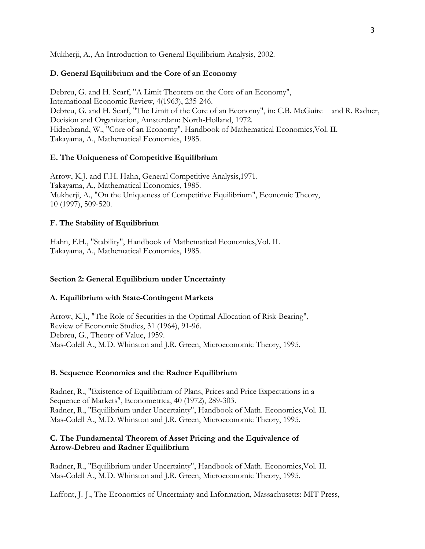Mukherji, A., An Introduction to General Equilibrium Analysis, 2002.

#### **D. General Equilibrium and the Core of an Economy**

Debreu, G. and H. Scarf, "A Limit Theorem on the Core of an Economy", International Economic Review, 4(1963), 235-246. Debreu, G. and H. Scarf, "The Limit of the Core of an Economy", in: C.B. McGuire and R. Radner, Decision and Organization, Amsterdam: North-Holland, 1972. Hidenbrand, W., "Core of an Economy", Handbook of Mathematical Economics,Vol. II. Takayama, A., Mathematical Economics, 1985.

#### **E. The Uniqueness of Competitive Equilibrium**

Arrow, K.J. and F.H. Hahn, General Competitive Analysis,1971. Takayama, A., Mathematical Economics, 1985. Mukherji, A., "On the Uniqueness of Competitive Equilibrium", Economic Theory, 10 (1997), 509-520.

#### **F. The Stability of Equilibrium**

Hahn, F.H., "Stability", Handbook of Mathematical Economics,Vol. II. Takayama, A., Mathematical Economics, 1985.

#### **Section 2: General Equilibrium under Uncertainty**

#### **A. Equilibrium with State-Contingent Markets**

Arrow, K.J., "The Role of Securities in the Optimal Allocation of Risk-Bearing", Review of Economic Studies, 31 (1964), 91-96. Debreu, G., Theory of Value, 1959. Mas-Colell A., M.D. Whinston and J.R. Green, Microeconomic Theory, 1995.

#### **B. Sequence Economies and the Radner Equilibrium**

Radner, R., "Existence of Equilibrium of Plans, Prices and Price Expectations in a Sequence of Markets", Econometrica, 40 (1972), 289-303. Radner, R., "Equilibrium under Uncertainty", Handbook of Math. Economics,Vol. II. Mas-Colell A., M.D. Whinston and J.R. Green, Microeconomic Theory, 1995.

## **C. The Fundamental Theorem of Asset Pricing and the Equivalence of Arrow-Debreu and Radner Equilibrium**

Radner, R., "Equilibrium under Uncertainty", Handbook of Math. Economics,Vol. II. Mas-Colell A., M.D. Whinston and J.R. Green, Microeconomic Theory, 1995.

Laffont, J.-J., The Economics of Uncertainty and Information, Massachusetts: MIT Press,